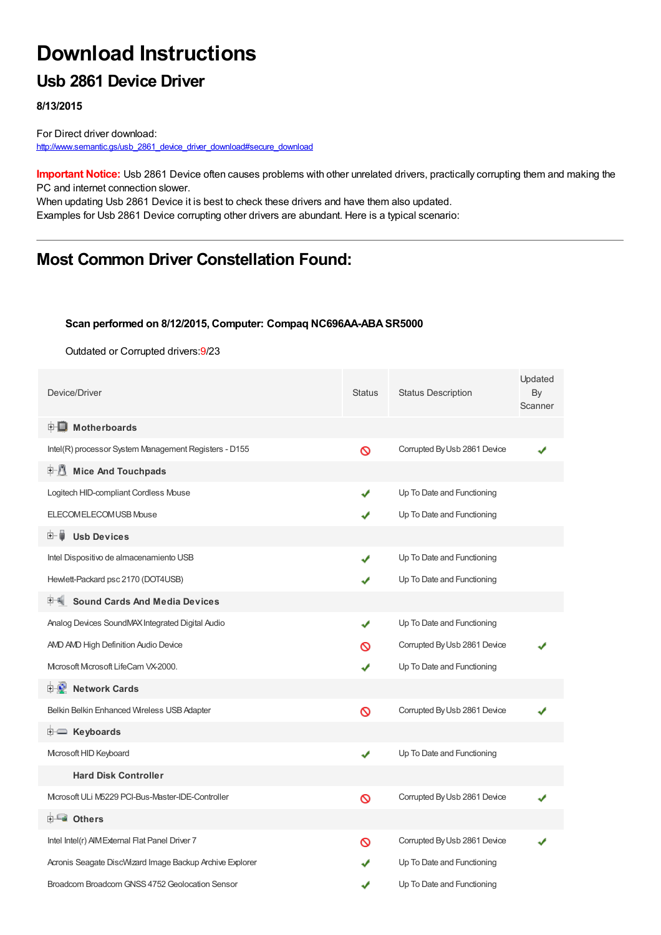# **Download Instructions**

### **Usb 2861 Device Driver**

**8/13/2015**

For Direct driver download: [http://www.semantic.gs/usb\\_2861\\_device\\_driver\\_download#secure\\_download](http://www.semantic.gs/usb_2861_device_driver_download#secure_download)

**Important Notice:** Usb 2861 Device often causes problems with other unrelated drivers, practically corrupting them and making the PC and internet connection slower.

When updating Usb 2861 Device it is best to check these drivers and have them also updated. Examples for Usb 2861 Device corrupting other drivers are abundant. Here is a typical scenario:

## **Most Common Driver Constellation Found:**

#### **Scan performed on 8/12/2015, Computer: Compaq NC696AA-ABASR5000**

Outdated or Corrupted drivers:9/23

| Device/Driver                                            | <b>Status</b> | <b>Status Description</b>    | Updated<br>By<br>Scanner |
|----------------------------------------------------------|---------------|------------------------------|--------------------------|
| <b>E</b> Motherboards                                    |               |                              |                          |
| Intel(R) processor System Management Registers - D155    | Ø             | Corrupted By Usb 2861 Device |                          |
| <b>Mice And Touchpads</b><br>E 1                         |               |                              |                          |
| Logitech HID-compliant Cordless Mouse                    | ✔             | Up To Date and Functioning   |                          |
| ELECOM ELECOM USB Mouse                                  | ✔             | Up To Date and Functioning   |                          |
| <b>Usb Devices</b><br>田一章                                |               |                              |                          |
| Intel Dispositivo de almacenamiento USB                  | J             | Up To Date and Functioning   |                          |
| Hewlett-Packard psc 2170 (DOT4USB)                       |               | Up To Date and Functioning   |                          |
| <b>Sound Cards And Media Devices</b>                     |               |                              |                          |
| Analog Devices SoundMAX Integrated Digital Audio         | ✔             | Up To Date and Functioning   |                          |
| AMD AMD High Definition Audio Device                     | ര             | Corrupted By Usb 2861 Device |                          |
| Mcrosoft Mcrosoft LifeCam VX-2000.                       | ✔             | Up To Date and Functioning   |                          |
| <b>F</b> Network Cards                                   |               |                              |                          |
| Belkin Belkin Enhanced Wireless USB Adapter              | Ø             | Corrupted By Usb 2861 Device |                          |
| <b>E</b> Keyboards                                       |               |                              |                          |
| Microsoft HID Keyboard                                   | ✔             | Up To Date and Functioning   |                          |
| <b>Hard Disk Controller</b>                              |               |                              |                          |
| Microsoft ULi M5229 PCI-Bus-Master-IDE-Controller        | Ø             | Corrupted By Usb 2861 Device |                          |
| <b>⊞- ■ Others</b>                                       |               |                              |                          |
| Intel Intel(r) AIM External Flat Panel Driver 7          | ଷ             | Corrupted By Usb 2861 Device |                          |
| Acronis Seagate DiscWizard Image Backup Archive Explorer |               | Up To Date and Functioning   |                          |
| Broadcom Broadcom GNSS 4752 Geolocation Sensor           | J             | Up To Date and Functioning   |                          |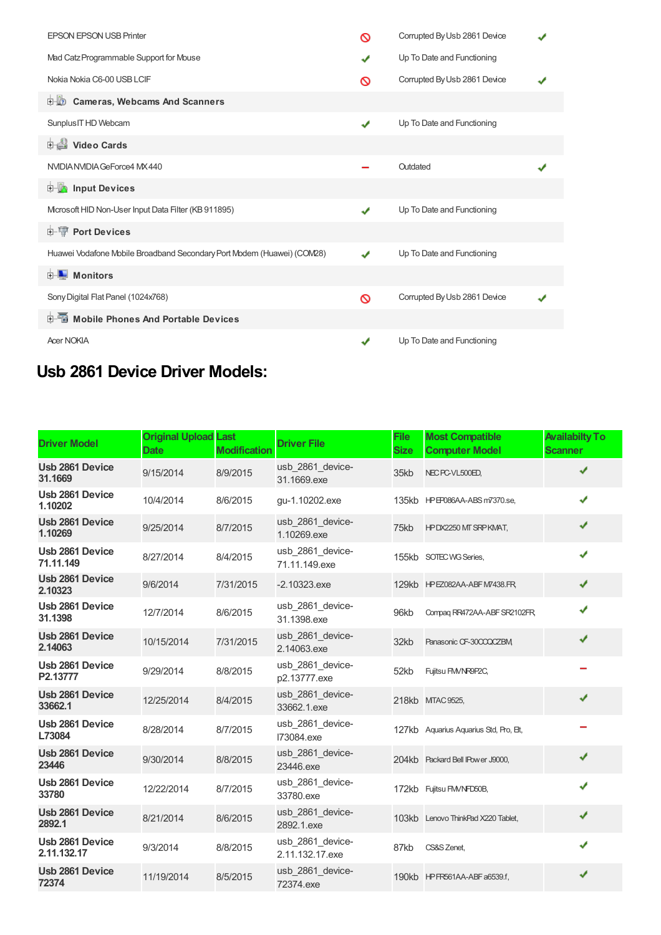| <b>EPSON EPSON USB Printer</b>                                         | ര            | Corrupted By Usb 2861 Device |  |
|------------------------------------------------------------------------|--------------|------------------------------|--|
| Mad Catz Programmable Support for Mouse                                | ✔            | Up To Date and Functioning   |  |
| Nokia Nokia C6-00 USB LCIF                                             | ര            | Corrupted By Usb 2861 Device |  |
| <b>D</b> Cameras, Webcams And Scanners                                 |              |                              |  |
| Sunplus IT HD Webcam                                                   | ✔            | Up To Date and Functioning   |  |
| Video Cards                                                            |              |                              |  |
| NVIDIA NVIDIA GeForce4 MX 440                                          |              | Outdated                     |  |
| <b>Devices</b> Input Devices                                           |              |                              |  |
| Mcrosoft HID Non-User Input Data Filter (KB 911895)                    | ✔            | Up To Date and Functioning   |  |
| <b>E-T</b> Port Devices                                                |              |                              |  |
| Huawei Vodafone Mobile Broadband Secondary Port Modem (Huawei) (COM28) |              | Up To Date and Functioning   |  |
| <b>E</b> Monitors                                                      |              |                              |  |
| Sony Digital Flat Panel (1024x768)                                     | ଷ            | Corrupted By Usb 2861 Device |  |
| 电图 Mobile Phones And Portable Devices                                  |              |                              |  |
| <b>Acer NOKIA</b>                                                      | $\mathbf{v}$ | Up To Date and Functioning   |  |

# **Usb 2861 Device Driver Models:**

| <b>Driver Model</b>               | <b>Original Upload Last</b><br><b>Date</b> | <b>Modification</b> | <b>Driver File</b>                  | <b>File</b><br><b>Size</b> | <b>Most Compatible</b><br><b>Computer Model</b> | <b>Availabilty To</b><br><b>Scanner</b> |
|-----------------------------------|--------------------------------------------|---------------------|-------------------------------------|----------------------------|-------------------------------------------------|-----------------------------------------|
| Usb 2861 Device<br>31.1669        | 9/15/2014                                  | 8/9/2015            | usb 2861 device-<br>31.1669.exe     | 35kb                       | NEC PC-VL500ED,                                 | ✔                                       |
| Usb 2861 Device<br>1.10202        | 10/4/2014                                  | 8/6/2015            | gu-1.10202.exe                      |                            | 135kb HP EP086AA-ABS m7370.se,                  | ✔                                       |
| Usb 2861 Device<br>1.10269        | 9/25/2014                                  | 8/7/2015            | usb 2861 device-<br>1.10269.exe     | 75kb                       | HPDX2250 MT SRPKMAT,                            | ✔                                       |
| Usb 2861 Device<br>71.11.149      | 8/27/2014                                  | 8/4/2015            | usb 2861 device-<br>71.11.149.exe   |                            | 155kb SOTEC WG Series,                          | ✔                                       |
| Usb 2861 Device<br>2.10323        | 9/6/2014                                   | 7/31/2015           | $-2.10323$ .exe                     |                            | 129kb HPEZ082AA-ABF M7438.FR                    | ✔                                       |
| Usb 2861 Device<br>31.1398        | 12/7/2014                                  | 8/6/2015            | usb_2861_device-<br>31.1398.exe     | 96kb                       | Compag RR472AA-ABF SR2102FR                     | ✔                                       |
| <b>Usb 2861 Device</b><br>2.14063 | 10/15/2014                                 | 7/31/2015           | usb 2861 device-<br>2.14063.exe     | 32kb                       | Panasonic CF-30CCQCZBM                          | ✔                                       |
| Usb 2861 Device<br>P2.13777       | 9/29/2014                                  | 8/8/2015            | usb 2861 device-<br>p2.13777.exe    | 52kb                       | Fujitsu FM/NR9P2C,                              |                                         |
| Usb 2861 Device<br>33662.1        | 12/25/2014                                 | 8/4/2015            | usb 2861 device-<br>33662.1.exe     |                            | 218kb MTAC 9525.                                | ✔                                       |
| Usb 2861 Device<br>L73084         | 8/28/2014                                  | 8/7/2015            | usb_2861_device-<br>173084.exe      |                            | 127kb Aquarius Aquarius Std, Pro, Et,           |                                         |
| Usb 2861 Device<br>23446          | 9/30/2014                                  | 8/8/2015            | usb 2861 device-<br>23446.exe       |                            | 204kb Packard Bell IPower J9000,                | ✔                                       |
| Usb 2861 Device<br>33780          | 12/22/2014                                 | 8/7/2015            | usb_2861_device-<br>33780.exe       |                            | 172kb Fujitsu FM/NFD50B,                        | J                                       |
| Usb 2861 Device<br>2892.1         | 8/21/2014                                  | 8/6/2015            | usb 2861 device-<br>2892.1.exe      |                            | 103kb Lenovo ThinkPad X220 Tablet,              | ✔                                       |
| Usb 2861 Device<br>2.11.132.17    | 9/3/2014                                   | 8/8/2015            | usb_2861_device-<br>2.11.132.17.exe | 87kb                       | CS&S Zenet,                                     | ✔                                       |
| <b>Usb 2861 Device</b><br>72374   | 11/19/2014                                 | 8/5/2015            | usb 2861 device-<br>72374.exe       |                            | 190kb HPFR561AA-ABF a6539.f.                    |                                         |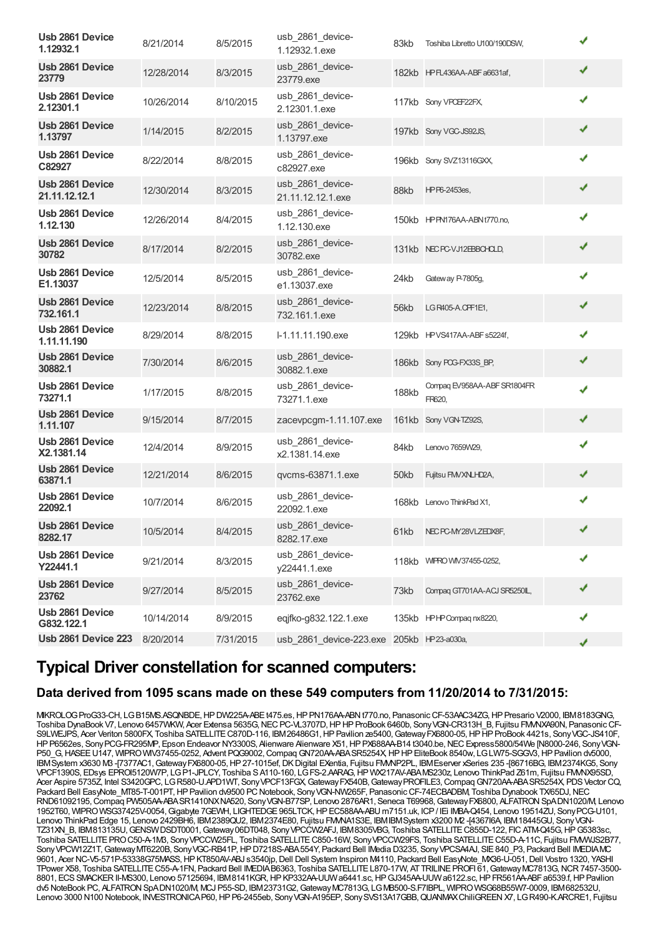| Usb 2861 Device<br>1.12932.1       | 8/21/2014  | 8/5/2015  | usb 2861 device-<br>1.12932.1.exe         | 83kb         | Toshiba Libretto U100/190DSW,         | ✔ |
|------------------------------------|------------|-----------|-------------------------------------------|--------------|---------------------------------------|---|
| <b>Usb 2861 Device</b><br>23779    | 12/28/2014 | 8/3/2015  | usb_2861_device-<br>23779.exe             |              | 182kb HPFL436AA-ABFa6631af,           | ✔ |
| Usb 2861 Device<br>2.12301.1       | 10/26/2014 | 8/10/2015 | usb_2861_device-<br>2.12301.1.exe         |              | 117kb Sony VPCEF22FX,                 | ✔ |
| <b>Usb 2861 Device</b><br>1.13797  | 1/14/2015  | 8/2/2015  | usb_2861_device-<br>1.13797.exe           |              | 197kb Sony VGC-JS92JS,                | ✔ |
| Usb 2861 Device<br>C82927          | 8/22/2014  | 8/8/2015  | usb 2861 device-<br>c82927.exe            |              | 196kb Sony SVZ13116GXX                | ✔ |
| Usb 2861 Device<br>21.11.12.12.1   | 12/30/2014 | 8/3/2015  | usb 2861 device-<br>21.11.12.12.1.exe     | 88kb         | HPP6-2453es,                          | ✔ |
| Usb 2861 Device<br>1.12.130        | 12/26/2014 | 8/4/2015  | usb_2861_device-<br>1.12.130.exe          |              | 150kb HPPN176AA-ABNt770.no,           | ✔ |
| Usb 2861 Device<br>30782           | 8/17/2014  | 8/2/2015  | usb_2861_device-<br>30782.exe             |              | 131kb NECPC-VJ12EBBCHOLD,             | ✔ |
| Usb 2861 Device<br>E1.13037        | 12/5/2014  | 8/5/2015  | usb_2861_device-<br>e1.13037.exe          | 24kb         | Gateway P-7805g,                      | ✔ |
| Usb 2861 Device<br>732.161.1       | 12/23/2014 | 8/8/2015  | usb_2861_device-<br>732.161.1.exe         | 56kb         | LG R405-A.CPF1E1,                     | ✔ |
| Usb 2861 Device<br>1.11.11.190     | 8/29/2014  | 8/8/2015  | I-1.11.11.190.exe                         |              | 129kb HPVS417AA-ABFs5224f,            | ✔ |
| Usb 2861 Device<br>30882.1         | 7/30/2014  | 8/6/2015  | usb_2861_device-<br>30882.1.exe           |              | 186kb Sony POG-FX33S_BP,              | ✔ |
| Usb 2861 Device<br>73271.1         | 1/17/2015  | 8/8/2015  | usb_2861_device-<br>73271.1.exe           | <b>188kb</b> | Compaq EV958AA-ABF SR1804FR<br>FR620, | ✔ |
| <b>Usb 2861 Device</b><br>1.11.107 | 9/15/2014  | 8/7/2015  | zacevpcgm-1.11.107.exe                    |              | 161kb Sony VGN-TZ92S,                 | ✔ |
| Usb 2861 Device<br>X2.1381.14      | 12/4/2014  | 8/9/2015  | usb_2861_device-<br>x2.1381.14.exe        | 84kb         | Lenovo 7659W29,                       | ✔ |
| <b>Usb 2861 Device</b><br>63871.1  | 12/21/2014 | 8/6/2015  | qvcms-63871.1.exe                         | 50kb         | Fujitsu FMVXNLHD2A,                   | ✔ |
| Usb 2861 Device<br>22092.1         | 10/7/2014  | 8/6/2015  | usb_2861_device-<br>22092.1.exe           |              | 168kb Lenovo ThinkPad X1,             | ✔ |
| Usb 2861 Device<br>8282.17         | 10/5/2014  | 8/4/2015  | usb_2861_device-<br>8282.17.exe           |              | 61kb NECPC-MY28VLZEDX8F,              |   |
| Usb 2861 Device<br>Y22441.1        | 9/21/2014  | 8/3/2015  | usb_2861_device-<br>y22441.1.exe          |              | 118kb WIFRO WIV37455-0252,            | ✔ |
| Usb 2861 Device<br>23762           | 9/27/2014  | 8/5/2015  | usb 2861 device-<br>23762.exe             | 73kb         | Compaq GT701AA-ACJ SR5250IL,          | ✔ |
| Usb 2861 Device<br>G832.122.1      | 10/14/2014 | 8/9/2015  | eqjfko-g832.122.1.exe                     |              | 135kb HPHP Compaq nx8220,             | ✔ |
| <b>Usb 2861 Device 223</b>         | 8/20/2014  | 7/31/2015 | usb_2861_device-223.exe 205kb HP23-a030a, |              |                                       | ✔ |

### **Typical Driver constellation for scanned computers:**

#### **Data derived from 1095 scans made on these 549 computers from 11/20/2014 to 7/31/2015:**

MIKROLOGProG33-CH, LGB15MS.ASQNBDE,HPDW225A-ABEt475.es,HPPN176AA-ABNt770.no, PanasonicCF-53AAC34ZG,HPPresario V2000, IBM8183GNG, Toshiba DynaBook V7, Lenovo 6457WKW, Acer Extensa 5635G,NECPC-VL3707D,HPHPProBook 6460b, SonyVGN-CR313H\_B, Fujitsu FMVNXA90N, PanasonicCF-S9LWEJPS, Acer Veriton 5800FX, Toshiba SATELLITE C870D-116, IBM 26486G1, HP Pavilion ze5400, Gateway FX6800-05, HP HP ProBook 4421s, Sony VGC-JS410F, HP P6562es, Sony PCG-FR295MP, Epson Endeavor NY3300S, Alienware Alienware X51, HP PX688AA-B14 t3040.be, NEC Express5800/54We [N8000-246, Sony VGN-P50\_G, HASEE U147, WIPRO WIV37455-0252, Advent PQG9002, Compaq GN720AA-ABA SR5254X, HP HP EliteBook 8540w, LG LW75-SGGV3, HP Pavilion dv5000, IBMSystem x3630 M3 -[7377AC1, Gateway FX6800-05, HP 27-1015ef, DK Digital EXentia, Fujitsu FMMP2PL, IBMEserver xSeries 235 -[86716BG, IBM2374KG5, Sony VPCF1390S, EDsys EPROI5120W7P, LGP1-JPLCY, Toshiba SA110-160, LGFS-2.AARAG, HP WX217AV-ABAMS230z, Lenovo ThinkPad Z61m, Fujitsu FMMV95SD Acer Aspire 5735Z, Intel S3420GPC, LGR580-U.APD1WT, Sony VPCF13FGX, Gateway FX540B, Gateway PROFILE3, Compaq GN720AA-ABA SR5254X, PDS Vector CQ, Packard Bell EasyNote\_MT85-T-001PT, HP Pavilion dv9500 PC Notebook, Sony VGN-NW265F, Panasonic CF-74ECBADBM, Toshiba Dynabook TX/65DJ, NEC RND61092195,Compaq PW505AA-ABASR1410NXNA520, SonyVGN-B77SP, Lenovo 2876AR1, Seneca T69968,GatewayFX6800, ALFATRONSpADN1020/M, Lenovo 1952T60, WIPROWSG37425V-0054,Gigabyte 7GEWH, LIGHTEDGE965LTCK,HPEC588AA-ABU m7151.uk, ICP/ IEi IMBA-Q454, Lenovo 19514ZU, SonyPCG-U101, Lenovo ThinkPad Edge 15, Lenovo 2429BH6, IBM2389QU2, IBM2374E80, Fujitsu FMVNA1S3E, IBMIBMSystem x3200 M2 -[4367I6A, IBM18445GU, SonyVGN-TZ31XN\_B, IBM813135U,GENSWDSDT0001,Gateway06DT048, SonyVPCCW2AFJ, IBM8305VBG, Toshiba SATELLITEC855D-122, FICATM-Q45G,HPG5383sc, Toshiba SATELLITE PRO C50-A-1M3, Sony VPCCW25FL, Toshiba SATELLITE C850-16W, Sony VPCCW29FS, Toshiba SATELLITE C55D-A-11C, Fujitsu FMWWS2B77, SonyVPCW12Z1T,GatewayMT6220B, SonyVGC-RB41P,HPD7218S-ABA554Y, Packard Bell IMedia D3235, SonyVPCSA4AJ, SIE840\_P3, Packard Bell IMEDIAMC 9601, Acer NC-V5-571P-53338G75MASS,HPKT850AV-ABJ s3540jp,Dell Dell System Inspiron M4110, Packard Bell EasyNote\_MX36-U-051,Dell Vostro 1320, YASHI TPower X58, Toshiba SATELLITE C55-A-1FN, Packard Bell IMEDIA B6363, Toshiba SATELLITE L870-17W, AT TRILINE PROFI 61, Gateway MC7813G, NCR 7457-3500-8801, ECSSMACKERII-MS300, Lenovo 57125694, IBM8141KGR,HPKP332AA-UUWa6441.sc,HPGJ345AA-UUWa6122.sc,HPFR561AA-ABFa6539.f,HPPavilion dv5 NoteBook PC, ALFATRONSpADN1020/M, MCJ P55-SD, IBM23731G2,GatewayMC7813G, LGMB500-S.F7IBPL, WIPROWSG68B55W7-0009, IBM682532U, Lenovo 3000 N100 Notebook, INVESTRONICAP60, HP P6-2455eb, Sony VGN-A195EP, Sony SVS13A17GBB, QUANMAX ChiliGREEN X7, LG R490-K.ARCRE1, Fujitsu